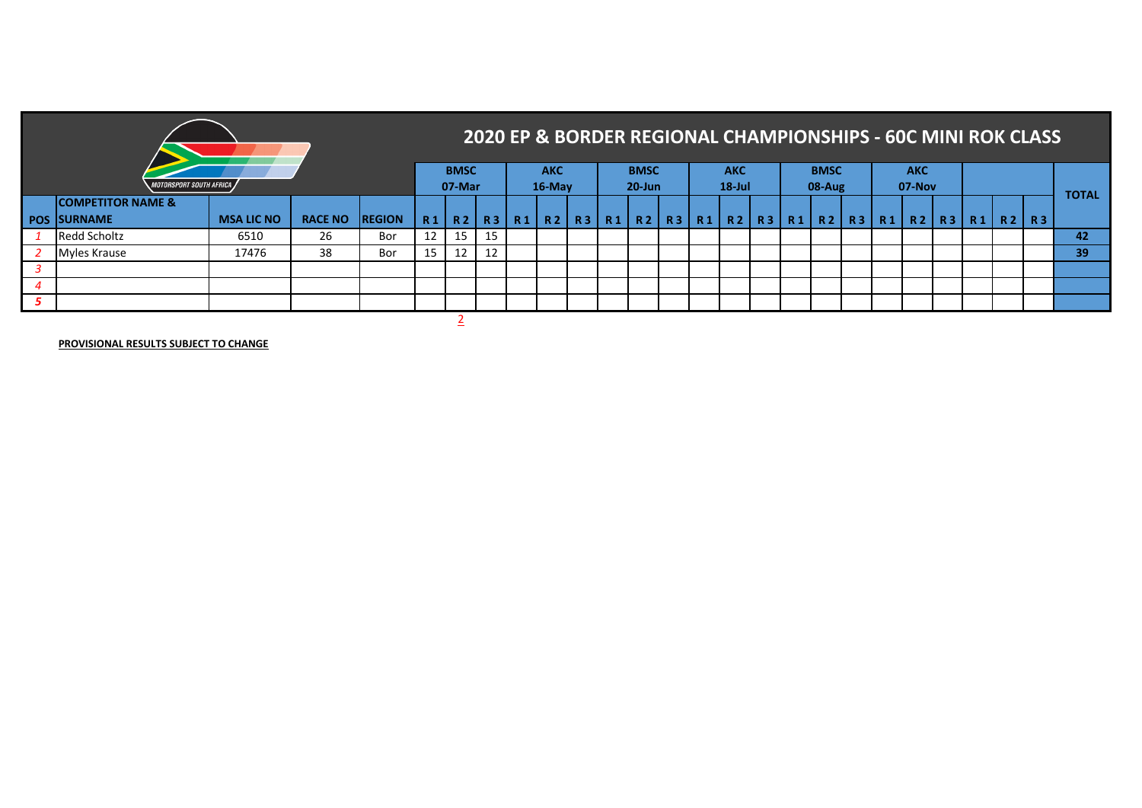|     |                                |                   |                |               |    |             |           |           | 2020 EP & BORDER REGIONAL CHAMPIONSHIPS - 60C MINI ROK CLASS |                                       |             |  |            |  |                |                        |            |  |         |              |
|-----|--------------------------------|-------------------|----------------|---------------|----|-------------|-----------|-----------|--------------------------------------------------------------|---------------------------------------|-------------|--|------------|--|----------------|------------------------|------------|--|---------|--------------|
|     |                                |                   |                |               |    | <b>BMSC</b> |           |           | <b>AKC</b>                                                   |                                       | <b>BMSC</b> |  | <b>AKC</b> |  | <b>BMSC</b>    |                        | <b>AKC</b> |  |         |              |
|     | <b>MOTORSPORT SOUTH AFRICA</b> |                   |                |               |    | 07-Mar      |           |           | $16$ -May                                                    |                                       | $20 - Jun$  |  | $18$ -Jul  |  | $08-Aug$       |                        | $07-Nov$   |  |         | <b>TOTAL</b> |
|     | <b>COMPETITOR NAME &amp;</b>   |                   |                |               |    |             |           |           |                                                              |                                       |             |  |            |  |                |                        |            |  |         |              |
|     | <b>POS ISURNAME</b>            | <b>MSA LIC NO</b> | <b>RACE NO</b> | <b>REGION</b> | R1 | <b>R2</b>   | <b>R3</b> | <b>R1</b> | R <sub>2</sub>                                               | R3   R1   R2   R3   R1   R2   R3   R1 |             |  |            |  | R <sub>2</sub> | R3   R1   R2   R3   R1 |            |  | R2   R3 |              |
|     | <b>Redd Scholtz</b>            | 6510              | 26             | Bor           | 12 | 15          | 15        |           |                                                              |                                       |             |  |            |  |                |                        |            |  |         | 42           |
|     | Myles Krause                   | 17476             | 38             | Bor           | 15 | 12          | 12        |           |                                                              |                                       |             |  |            |  |                |                        |            |  |         | 39           |
|     |                                |                   |                |               |    |             |           |           |                                                              |                                       |             |  |            |  |                |                        |            |  |         |              |
|     |                                |                   |                |               |    |             |           |           |                                                              |                                       |             |  |            |  |                |                        |            |  |         |              |
| - 5 |                                |                   |                |               |    |             |           |           |                                                              |                                       |             |  |            |  |                |                        |            |  |         |              |

2

**PROVISIONAL RESULTS SUBJECT TO CHANGE**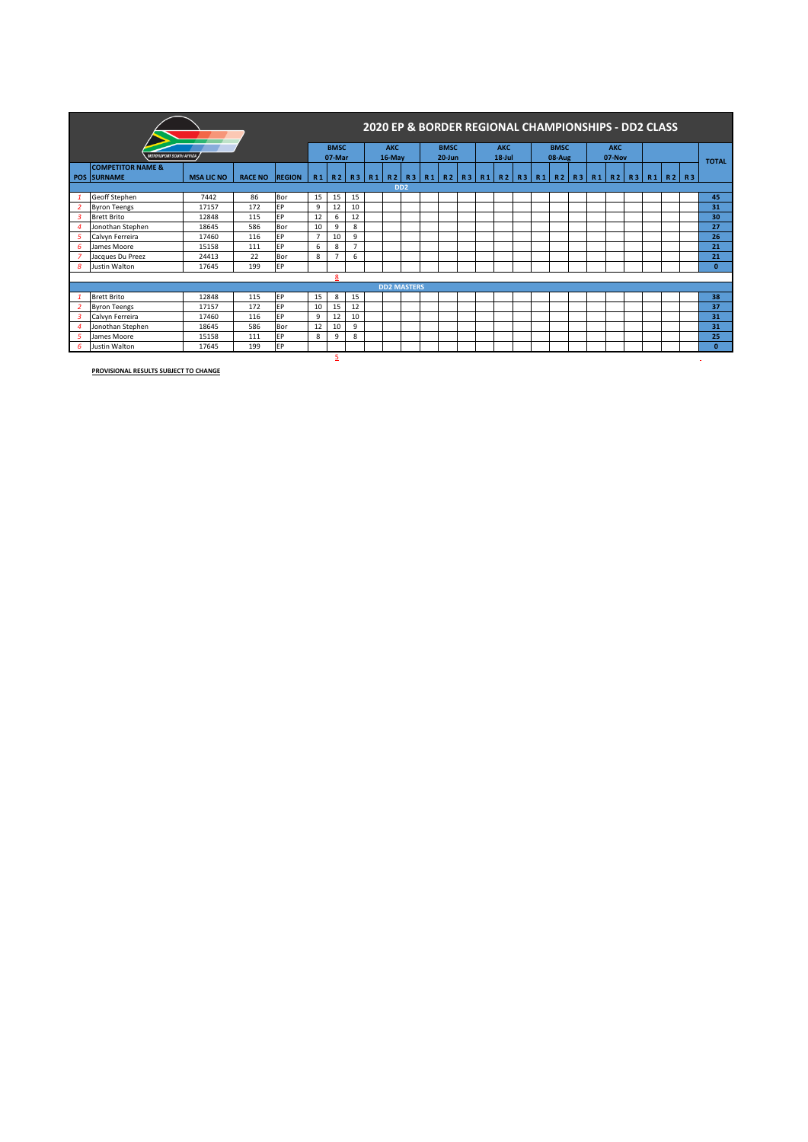|                |                                |                   |                |               |                |                |          | 2020 EP & BORDER REGIONAL CHAMPIONSHIPS - DD2 CLASS |  |             |  |            |  |             |                                                                |            |  |                |              |
|----------------|--------------------------------|-------------------|----------------|---------------|----------------|----------------|----------|-----------------------------------------------------|--|-------------|--|------------|--|-------------|----------------------------------------------------------------|------------|--|----------------|--------------|
|                |                                |                   |                |               |                | <b>BMSC</b>    |          | <b>AKC</b>                                          |  | <b>BMSC</b> |  | <b>AKC</b> |  | <b>BMSC</b> |                                                                | <b>AKC</b> |  |                |              |
|                | <b>MOTORSPORT SOUTH AFRICA</b> |                   |                |               |                | 07-Mar         |          | 16-May                                              |  | $20 - Jun$  |  | $18 -$ Jul |  | 08-Aug      |                                                                | 07-Nov     |  |                | <b>TOTAL</b> |
|                | <b>COMPETITOR NAME &amp;</b>   |                   |                |               |                |                |          |                                                     |  |             |  |            |  |             |                                                                |            |  |                |              |
|                | <b>POS SURNAME</b>             | <b>MSA LIC NO</b> | <b>RACE NO</b> | <b>REGION</b> | R <sub>1</sub> |                | R2 R3 R1 | R2                                                  |  |             |  |            |  |             | R3   R1   R2   R3   R1   R2   R3   R1   R2   R3   R1   R2   R3 |            |  | $R1$ $R2$ $R3$ |              |
|                |                                |                   |                |               |                |                |          | D <sub>D</sub> <sub>2</sub>                         |  |             |  |            |  |             |                                                                |            |  |                |              |
|                | Geoff Stephen                  | 7442              | 86             | Bor           | 15             | 15             | 15       |                                                     |  |             |  |            |  |             |                                                                |            |  |                | 45           |
| 2              | <b>Byron Teengs</b>            | 17157             | 172            | EP            | 9              | 12             | 10       |                                                     |  |             |  |            |  |             |                                                                |            |  |                | 31           |
| 3              | <b>Brett Brito</b>             | 12848             | 115            | <b>FP</b>     | 12             | 6              | 12       |                                                     |  |             |  |            |  |             |                                                                |            |  |                | 30           |
|                | Jonothan Stephen               | 18645             | 586            | Bor           | 10             | 9              | 8        |                                                     |  |             |  |            |  |             |                                                                |            |  |                | 27           |
| 5              | Calvyn Ferreira                | 17460             | 116            | EP            |                | 10             | 9        |                                                     |  |             |  |            |  |             |                                                                |            |  |                | 26           |
| 6              | James Moore                    | 15158             | 111            | 6             | 8              | $\overline{7}$ |          |                                                     |  |             |  |            |  |             |                                                                |            |  | 21             |              |
|                | Jacques Du Preez               | 24413             | 22             | Bor           | 8              | $\rightarrow$  | 6        |                                                     |  |             |  |            |  |             |                                                                |            |  |                | 21           |
| 8              | Justin Walton                  | 17645             | 199            | EP            |                |                |          |                                                     |  |             |  |            |  |             |                                                                |            |  |                | $\Omega$     |
|                |                                |                   |                |               |                | 8              |          |                                                     |  |             |  |            |  |             |                                                                |            |  |                |              |
|                |                                |                   |                |               |                |                |          | <b>DD2 MASTERS</b>                                  |  |             |  |            |  |             |                                                                |            |  |                |              |
|                | <b>Brett Brito</b>             | 12848             | 115            | EP            | 15             | 8              | 15       |                                                     |  |             |  |            |  |             |                                                                |            |  |                | 38           |
| 2              | <b>Byron Teengs</b>            | 17157             | 172            | EP            | 10             | 15             | 12       |                                                     |  |             |  |            |  |             |                                                                |            |  |                | 37           |
| 3              | Calvyn Ferreira                | 17460             | 116            | EP            | 9              | 12             | 10       |                                                     |  |             |  |            |  |             |                                                                |            |  |                | 31           |
| $\overline{a}$ | Jonothan Stephen               | 18645             | 586            | Bor           | 12             | 10             | 9        |                                                     |  |             |  |            |  |             |                                                                |            |  |                | 31           |
| 5              | James Moore                    | 9                 | 8              |               |                |                |          |                                                     |  |             |  |            |  |             | 25                                                             |            |  |                |              |
| 6              | <b>Justin Walton</b>           | 17645             | 199            | EP            |                |                |          |                                                     |  |             |  |            |  |             |                                                                |            |  |                | $\Omega$     |
|                |                                |                   |                |               |                | 5              |          |                                                     |  |             |  |            |  |             |                                                                |            |  |                |              |

**PROVISIONAL RESULTS SUBJECT TO CHANGE**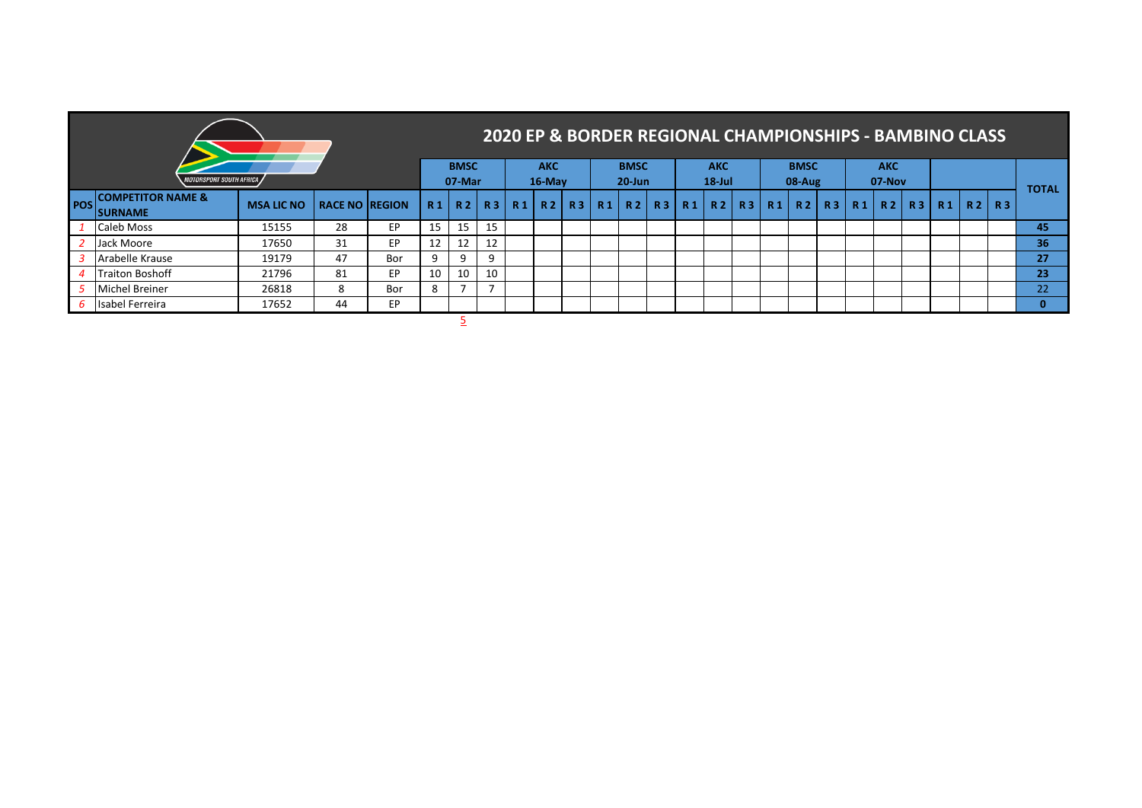|                                          |                   |                       |     |                |                       |           |                |                      |    |            |                           |    |           |                         |           |                |                         |    |           | <b>2020 EP &amp; BORDER REGIONAL CHAMPIONSHIPS - BAMBINO CLASS</b> |       |           |           |              |
|------------------------------------------|-------------------|-----------------------|-----|----------------|-----------------------|-----------|----------------|----------------------|----|------------|---------------------------|----|-----------|-------------------------|-----------|----------------|-------------------------|----|-----------|--------------------------------------------------------------------|-------|-----------|-----------|--------------|
| <i><b>MOTORSPORT SOUTH AFRICA</b></i>    |                   |                       |     |                | <b>BMSC</b><br>07-Mar |           |                | <b>AKC</b><br>16-May |    |            | <b>BMSC</b><br>$20 - Jun$ |    |           | <b>AKC</b><br>$18$ -Jul |           |                | <b>BMSC</b><br>$08-Aug$ |    |           | <b>AKC</b><br>07-Nov                                               |       |           |           |              |
| POS COMPETITOR NAME &<br><b>ISURNAME</b> | <b>MSA LIC NO</b> | <b>RACE NO REGION</b> |     | R <sub>1</sub> | <b>R2</b>             | <b>R3</b> | R <sub>1</sub> | R <sub>2</sub>       | R3 | <b>R</b> 1 | R <sub>2</sub>            | R3 | <b>R1</b> | R2                      | <b>R3</b> | R <sub>1</sub> | R <sub>2</sub>          | R3 | <b>R1</b> |                                                                    | R2 R3 | <b>R1</b> | $R2$ $R3$ | <b>TOTAL</b> |
| Caleb Moss                               | 15155             | 28                    | EP  | 15             | 15                    | 15        |                |                      |    |            |                           |    |           |                         |           |                |                         |    |           |                                                                    |       |           |           | 45           |
| Jack Moore                               | 17650             | 31                    | EP  | 12             | 12                    | 12        |                |                      |    |            |                           |    |           |                         |           |                |                         |    |           |                                                                    |       |           |           | 36           |
| Arabelle Krause                          | 19179             | 47                    | Bor | 9              | 9                     | 9         |                |                      |    |            |                           |    |           |                         |           |                |                         |    |           |                                                                    |       |           |           | 27           |
| <b>Traiton Boshoff</b>                   | 21796             | 81                    | EP  | 10             | 10                    | 10        |                |                      |    |            |                           |    |           |                         |           |                |                         |    |           |                                                                    |       |           |           | 23           |
| <b>Michel Breiner</b>                    | 26818             | 8                     | Bor | 8              |                       |           |                |                      |    |            |                           |    |           |                         |           |                |                         |    |           |                                                                    |       |           |           | 22           |
| Isabel Ferreira                          | 17652             | 44                    | EP  |                |                       |           |                |                      |    |            |                           |    |           |                         |           |                |                         |    |           |                                                                    |       |           |           |              |

5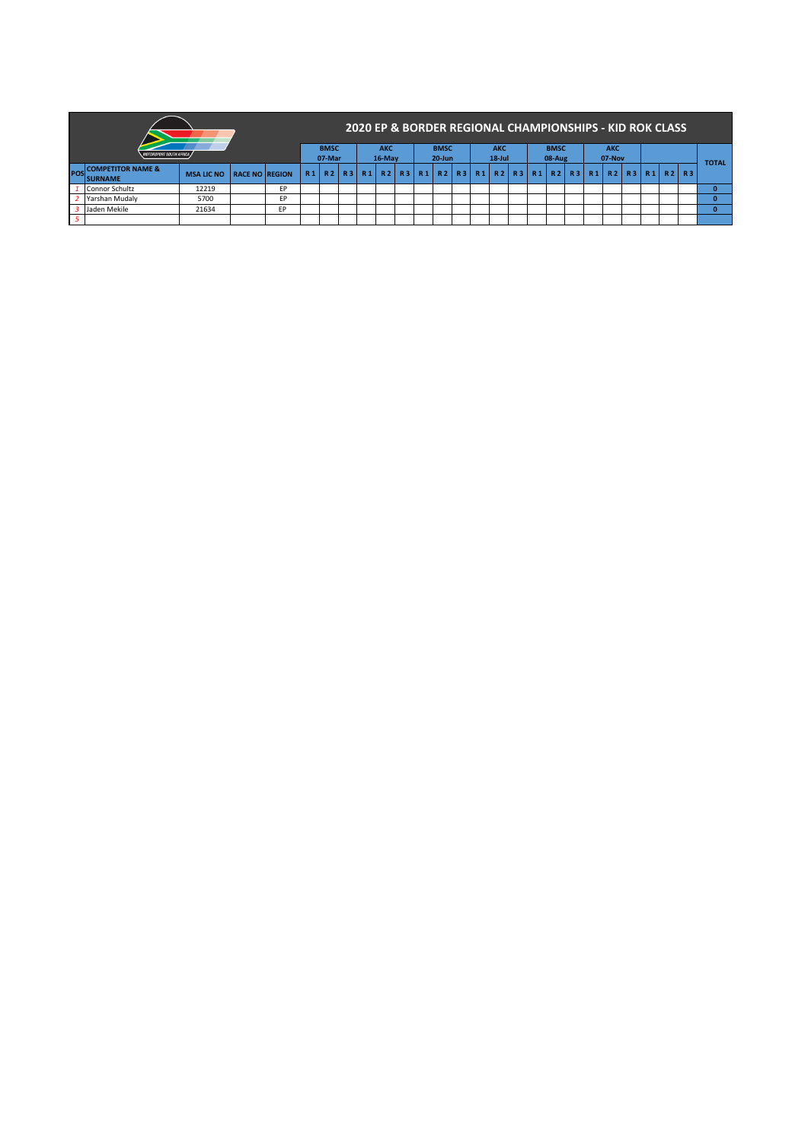|     |                                                 |                   |                       |    |                      |  |                           | 2020 EP & BORDER REGIONAL CHAMPIONSHIPS - KID ROK CLASS                                      |                         |  |                       |  |                      |  |  |  |  |     |              |
|-----|-------------------------------------------------|-------------------|-----------------------|----|----------------------|--|---------------------------|----------------------------------------------------------------------------------------------|-------------------------|--|-----------------------|--|----------------------|--|--|--|--|-----|--------------|
|     | <b>MOTORSPORT SOUTH AFRICA</b>                  |                   | <b>BMSC</b><br>07-Mar |    | <b>AKC</b><br>16-May |  | <b>BMSC</b><br>$20 - Jun$ |                                                                                              | <b>AKC</b><br>$18$ -Jul |  | <b>BMSC</b><br>08-Aug |  | <b>AKC</b><br>07-Nov |  |  |  |  |     |              |
| POS | <b>COMPETITOR NAME &amp;</b><br><b>ISURNAME</b> | <b>MSA LIC NO</b> | <b>RACE NO REGION</b> |    | R1                   |  |                           | R2   R3   R1   R2   R3   R1   R2   R3   R1   R2   R3   R1   R2   R3   R1   R2   R3   R1   R2 |                         |  |                       |  |                      |  |  |  |  | R 3 | <b>TOTAL</b> |
|     | Connor Schultz                                  | 12219             |                       | EP |                      |  |                           |                                                                                              |                         |  |                       |  |                      |  |  |  |  |     |              |
|     | Yarshan Mudaly                                  | 5700              |                       | FP |                      |  |                           |                                                                                              |                         |  |                       |  |                      |  |  |  |  |     | n.           |
|     | Jaden Mekile                                    | 21634             |                       | FР |                      |  |                           |                                                                                              |                         |  |                       |  |                      |  |  |  |  |     | n.           |
|     |                                                 |                   |                       |    |                      |  |                           |                                                                                              |                         |  |                       |  |                      |  |  |  |  |     |              |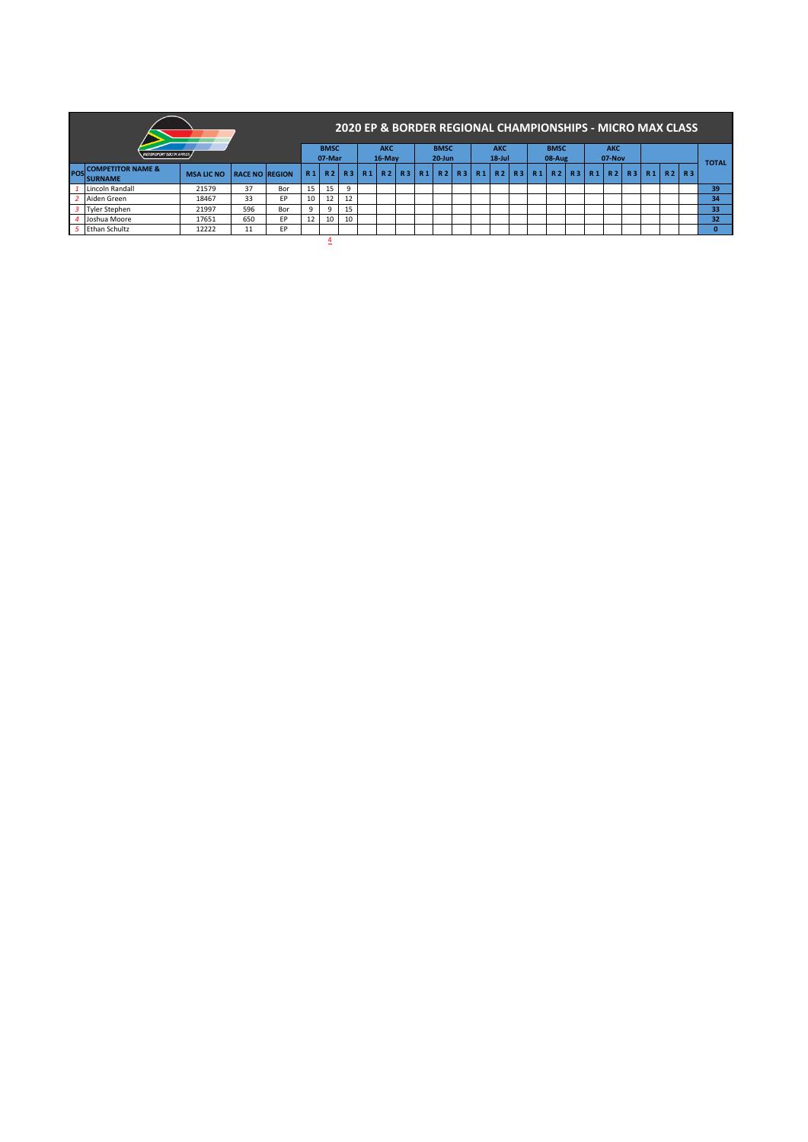|     |                                                 |                   |                       |     |                |                       |           |           |                      |    |    |                           |           |                         |    | 2020 EP & BORDER REGIONAL CHAMPIONSHIPS - MICRO MAX CLASS |              |                      |           |    |           |           |              |
|-----|-------------------------------------------------|-------------------|-----------------------|-----|----------------|-----------------------|-----------|-----------|----------------------|----|----|---------------------------|-----------|-------------------------|----|-----------------------------------------------------------|--------------|----------------------|-----------|----|-----------|-----------|--------------|
|     | <b>MOTORSPORT SOUTH AFRICA,</b>                 |                   |                       |     |                | <b>BMSC</b><br>07-Mar |           |           | <b>AKC</b><br>16-May |    |    | <b>BMSC</b><br>$20 - Jun$ |           | <b>AKC</b><br>$18$ -Jul |    | <b>BMSC</b><br>08-Aug                                     |              | <b>AKC</b><br>07-Nov |           |    |           |           |              |
| POS | <b>COMPETITOR NAME &amp;</b><br><b>ISURNAME</b> | <b>MSA LIC NO</b> | <b>RACE NO REGION</b> |     | R <sub>1</sub> | R <sub>2</sub>        | <b>R3</b> | <b>R1</b> | R2                   | R3 | R1 | R <sub>2</sub>            | <b>R3</b> | R1 R2 R3                | R1 | R <sub>2</sub>                                            | <b>R3</b> R1 | R <sub>2</sub>       | <b>R3</b> | R1 | <b>R2</b> | <b>R3</b> | <b>TOTAL</b> |
|     | Lincoln Randall                                 | 21579             | 37                    | Bor | 15             | 15                    | 9         |           |                      |    |    |                           |           |                         |    |                                                           |              |                      |           |    |           |           | 39           |
|     | Aiden Green                                     | 18467             | 33                    | EP  | 10             | 12                    | 12        |           |                      |    |    |                           |           |                         |    |                                                           |              |                      |           |    |           |           | 34           |
|     | <b>Tyler Stephen</b>                            | 21997             | 596                   | Bor | 9              | 9                     | 15        |           |                      |    |    |                           |           |                         |    |                                                           |              |                      |           |    |           |           | 33           |
|     | Joshua Moore                                    | 17651             | 650                   | EP  | 12             | 10                    | 10        |           |                      |    |    |                           |           |                         |    |                                                           |              |                      |           |    |           |           | 32           |
|     | <b>Ethan Schultz</b>                            | 12222             | 11                    | EP  |                |                       |           |           |                      |    |    |                           |           |                         |    |                                                           |              |                      |           |    |           |           | $\mathbf{0}$ |
|     |                                                 |                   |                       |     |                | 4                     |           |           |                      |    |    |                           |           |                         |    |                                                           |              |                      |           |    |           |           |              |